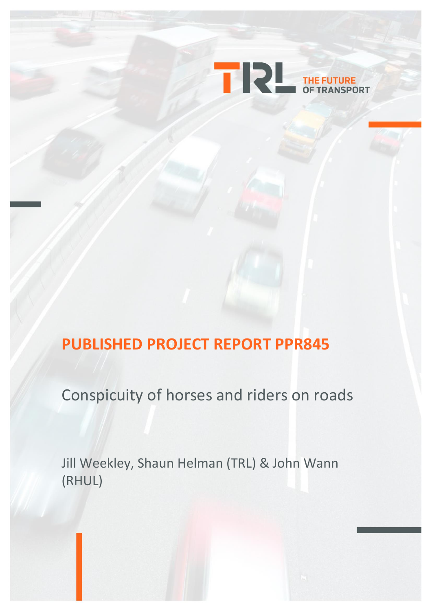

# **PUBLISHED PROJECT REPORT PPR845**

Conspicuity of horses and riders on roads

Jill Weekley, Shaun Helman (TRL) & John Wann (RHUL)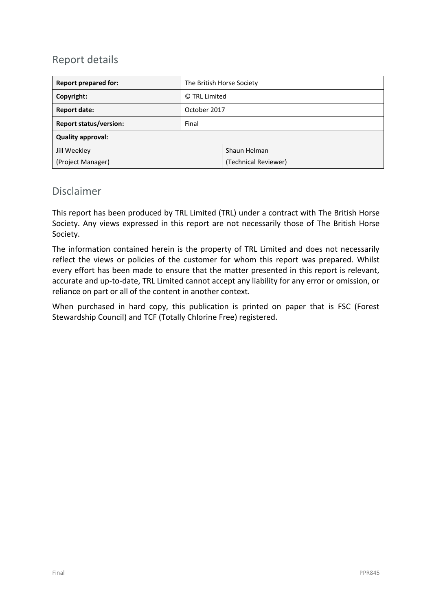# Report details

| <b>Report prepared for:</b>   | The British Horse Society |                      |  |  |
|-------------------------------|---------------------------|----------------------|--|--|
| Copyright:                    | © TRL Limited             |                      |  |  |
| <b>Report date:</b>           | October 2017              |                      |  |  |
| <b>Report status/version:</b> | Final                     |                      |  |  |
| <b>Quality approval:</b>      |                           |                      |  |  |
| Jill Weekley                  |                           | Shaun Helman         |  |  |
| (Project Manager)             |                           | (Technical Reviewer) |  |  |

### Disclaimer

This report has been produced by TRL Limited (TRL) under a contract with The British Horse Society. Any views expressed in this report are not necessarily those of The British Horse Society.

The information contained herein is the property of TRL Limited and does not necessarily reflect the views or policies of the customer for whom this report was prepared. Whilst every effort has been made to ensure that the matter presented in this report is relevant, accurate and up-to-date, TRL Limited cannot accept any liability for any error or omission, or reliance on part or all of the content in another context.

When purchased in hard copy, this publication is printed on paper that is FSC (Forest Stewardship Council) and TCF (Totally Chlorine Free) registered.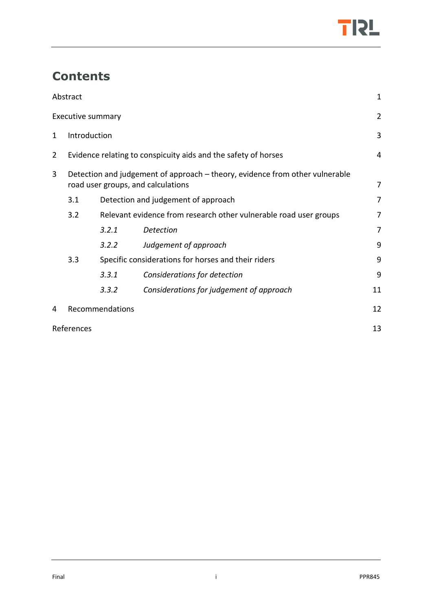

# **Contents**

|   | Abstract                                                                                                           |                                                                |                                          | 1              |  |  |
|---|--------------------------------------------------------------------------------------------------------------------|----------------------------------------------------------------|------------------------------------------|----------------|--|--|
|   | <b>Executive summary</b>                                                                                           |                                                                |                                          | $\overline{2}$ |  |  |
| 1 |                                                                                                                    | Introduction                                                   |                                          |                |  |  |
| 2 |                                                                                                                    | Evidence relating to conspicuity aids and the safety of horses |                                          |                |  |  |
| 3 | Detection and judgement of approach – theory, evidence from other vulnerable<br>road user groups, and calculations |                                                                |                                          | $\overline{7}$ |  |  |
|   | 3.1                                                                                                                | Detection and judgement of approach<br>7                       |                                          |                |  |  |
|   | 3.2<br>Relevant evidence from research other vulnerable road user groups                                           |                                                                |                                          |                |  |  |
|   |                                                                                                                    | 3.2.1                                                          | <b>Detection</b>                         | 7              |  |  |
|   |                                                                                                                    | 3.2.2                                                          | Judgement of approach                    | 9              |  |  |
|   | 3.3<br>Specific considerations for horses and their riders                                                         |                                                                | 9                                        |                |  |  |
|   |                                                                                                                    | 3.3.1                                                          | Considerations for detection             | 9              |  |  |
|   |                                                                                                                    | 3.3.2                                                          | Considerations for judgement of approach | 11             |  |  |
| 4 |                                                                                                                    | Recommendations                                                |                                          | 12             |  |  |
|   | References                                                                                                         |                                                                |                                          | 13             |  |  |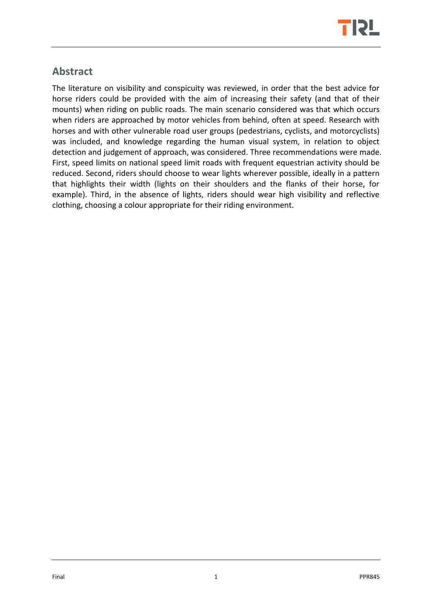

# <span id="page-3-0"></span>**Abstract**

The literature on visibility and conspicuity was reviewed, in order that the best advice for horse riders could be provided with the aim of increasing their safety (and that of their mounts) when riding on public roads. The main scenario considered was that which occurs when riders are approached by motor vehicles from behind, often at speed. Research with horses and with other vulnerable road user groups (pedestrians, cyclists, and motorcyclists) was included, and knowledge regarding the human visual system, in relation to object detection and judgement of approach, was considered. Three recommendations were made. First, speed limits on national speed limit roads with frequent equestrian activity should be reduced. Second, riders should choose to wear lights wherever possible, ideally in a pattern that highlights their width (lights on their shoulders and the flanks of their horse, for example). Third, in the absence of lights, riders should wear high visibility and reflective clothing, choosing a colour appropriate for their riding environment.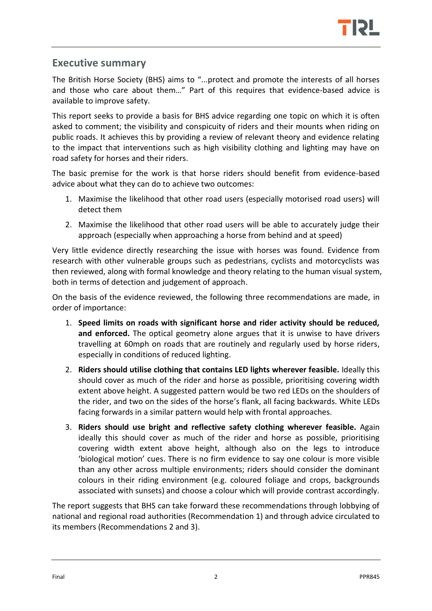

## <span id="page-4-0"></span>**Executive summary**

The British Horse Society (BHS) aims to "...protect and promote the interests of all horses and those who care about them…" Part of this requires that evidence-based advice is available to improve safety.

This report seeks to provide a basis for BHS advice regarding one topic on which it is often asked to comment; the visibility and conspicuity of riders and their mounts when riding on public roads. It achieves this by providing a review of relevant theory and evidence relating to the impact that interventions such as high visibility clothing and lighting may have on road safety for horses and their riders.

The basic premise for the work is that horse riders should benefit from evidence-based advice about what they can do to achieve two outcomes:

- 1. Maximise the likelihood that other road users (especially motorised road users) will detect them
- 2. Maximise the likelihood that other road users will be able to accurately judge their approach (especially when approaching a horse from behind and at speed)

Very little evidence directly researching the issue with horses was found. Evidence from research with other vulnerable groups such as pedestrians, cyclists and motorcyclists was then reviewed, along with formal knowledge and theory relating to the human visual system, both in terms of detection and judgement of approach.

On the basis of the evidence reviewed, the following three recommendations are made, in order of importance:

- 1. **Speed limits on roads with significant horse and rider activity should be reduced, and enforced.** The optical geometry alone argues that it is unwise to have drivers travelling at 60mph on roads that are routinely and regularly used by horse riders, especially in conditions of reduced lighting.
- 2. **Riders should utilise clothing that contains LED lights wherever feasible.** Ideally this should cover as much of the rider and horse as possible, prioritising covering width extent above height. A suggested pattern would be two red LEDs on the shoulders of the rider, and two on the sides of the horse's flank, all facing backwards. White LEDs facing forwards in a similar pattern would help with frontal approaches.
- 3. **Riders should use bright and reflective safety clothing wherever feasible.** Again ideally this should cover as much of the rider and horse as possible, prioritising covering width extent above height, although also on the legs to introduce 'biological motion' cues. There is no firm evidence to say one colour is more visible than any other across multiple environments; riders should consider the dominant colours in their riding environment (e.g. coloured foliage and crops, backgrounds associated with sunsets) and choose a colour which will provide contrast accordingly.

The report suggests that BHS can take forward these recommendations through lobbying of national and regional road authorities (Recommendation 1) and through advice circulated to its members (Recommendations 2 and 3).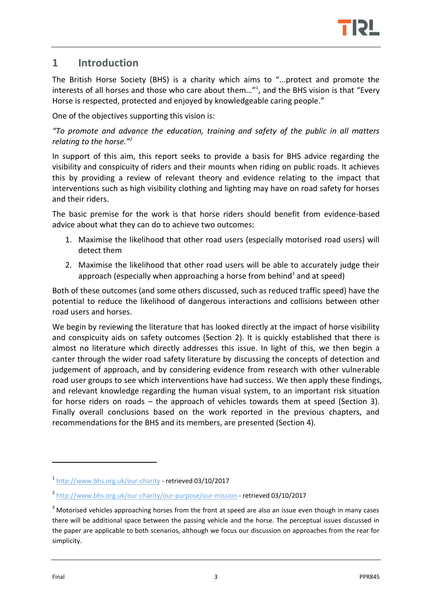

## <span id="page-5-0"></span>**1 Introduction**

The British Horse Society (BHS) is a charity which aims to "...protect and promote the interests of all horses and those who care about them..."<sup>1</sup>, and the BHS vision is that "Every Horse is respected, protected and enjoyed by knowledgeable caring people."

One of the objectives supporting this vision is:

*"To promote and advance the education, training and safety of the public in all matters relating to the horse."<sup>2</sup>*

In support of this aim, this report seeks to provide a basis for BHS advice regarding the visibility and conspicuity of riders and their mounts when riding on public roads. It achieves this by providing a review of relevant theory and evidence relating to the impact that interventions such as high visibility clothing and lighting may have on road safety for horses and their riders.

The basic premise for the work is that horse riders should benefit from evidence-based advice about what they can do to achieve two outcomes:

- 1. Maximise the likelihood that other road users (especially motorised road users) will detect them
- 2. Maximise the likelihood that other road users will be able to accurately judge their approach (especially when approaching a horse from behind<sup>3</sup> and at speed)

Both of these outcomes (and some others discussed, such as reduced traffic speed) have the potential to reduce the likelihood of dangerous interactions and collisions between other road users and horses.

We begin by reviewing the literature that has looked directly at the impact of horse visibility and conspicuity aids on safety outcomes (Section [2\)](#page-6-0). It is quickly established that there is almost no literature which directly addresses this issue. In light of this, we then begin a canter through the wider road safety literature by discussing the concepts of detection and judgement of approach, and by considering evidence from research with other vulnerable road user groups to see which interventions have had success. We then apply these findings, and relevant knowledge regarding the human visual system, to an important risk situation for horse riders on roads – the approach of vehicles towards them at speed (Section [3\)](#page-9-0). Finally overall conclusions based on the work reported in the previous chapters, and recommendations for the BHS and its members, are presented (Section [4\)](#page-14-0).

<sup>1</sup> <http://www.bhs.org.uk/our-charity> - retrieved 03/10/2017

<sup>&</sup>lt;sup>2</sup> <http://www.bhs.org.uk/our-charity/our-purpose/our-mission> - retrieved 03/10/2017

 $3$  Motorised vehicles approaching horses from the front at speed are also an issue even though in many cases there will be additional space between the passing vehicle and the horse. The perceptual issues discussed in the paper are applicable to both scenarios, although we focus our discussion on approaches from the rear for simplicity.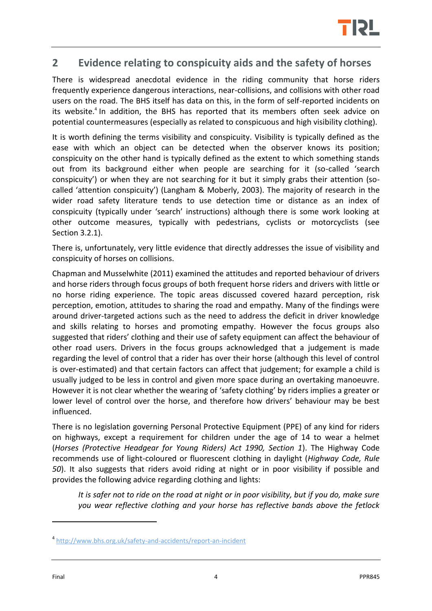

## <span id="page-6-0"></span>**2 Evidence relating to conspicuity aids and the safety of horses**

There is widespread anecdotal evidence in the riding community that horse riders frequently experience dangerous interactions, near-collisions, and collisions with other road users on the road. The BHS itself has data on this, in the form of self-reported incidents on its website.<sup>4</sup> In addition, the BHS has reported that its members often seek advice on potential countermeasures (especially as related to conspicuous and high visibility clothing).

It is worth defining the terms visibility and conspicuity. Visibility is typically defined as the ease with which an object can be detected when the observer knows its position; conspicuity on the other hand is typically defined as the extent to which something stands out from its background either when people are searching for it (so-called 'search conspicuity') or when they are not searching for it but it simply grabs their attention (socalled 'attention conspicuity') (Langham & Moberly, 2003). The majority of research in the wider road safety literature tends to use detection time or distance as an index of conspicuity (typically under 'search' instructions) although there is some work looking at other outcome measures, typically with pedestrians, cyclists or motorcyclists (see Sectio[n 3.2.1\)](#page-9-3).

There is, unfortunately, very little evidence that directly addresses the issue of visibility and conspicuity of horses on collisions.

Chapman and Musselwhite (2011) examined the attitudes and reported behaviour of drivers and horse riders through focus groups of both frequent horse riders and drivers with little or no horse riding experience. The topic areas discussed covered hazard perception, risk perception, emotion, attitudes to sharing the road and empathy. Many of the findings were around driver-targeted actions such as the need to address the deficit in driver knowledge and skills relating to horses and promoting empathy. However the focus groups also suggested that riders' clothing and their use of safety equipment can affect the behaviour of other road users. Drivers in the focus groups acknowledged that a judgement is made regarding the level of control that a rider has over their horse (although this level of control is over-estimated) and that certain factors can affect that judgement; for example a child is usually judged to be less in control and given more space during an overtaking manoeuvre. However it is not clear whether the wearing of 'safety clothing' by riders implies a greater or lower level of control over the horse, and therefore how drivers' behaviour may be best influenced.

There is no legislation governing Personal Protective Equipment (PPE) of any kind for riders on highways, except a requirement for children under the age of 14 to wear a helmet (*Horses (Protective Headgear for Young Riders) Act 1990, Section 1*). The Highway Code recommends use of light-coloured or fluorescent clothing in daylight (*Highway Code, Rule 50*). It also suggests that riders avoid riding at night or in poor visibility if possible and provides the following advice regarding clothing and lights:

*It is safer not to ride on the road at night or in poor visibility, but if you do, make sure you wear reflective clothing and your horse has reflective bands above the fetlock* 

<sup>4</sup> <http://www.bhs.org.uk/safety-and-accidents/report-an-incident>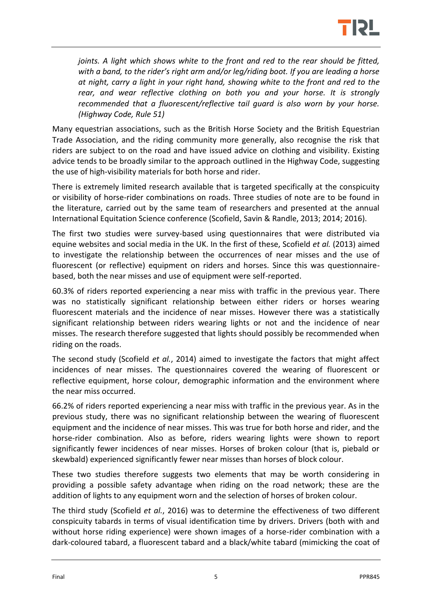

*joints. A light which shows white to the front and red to the rear should be fitted. with a band, to the rider's right arm and/or leg/riding boot. If you are leading a horse at night, carry a light in your right hand, showing white to the front and red to the rear, and wear reflective clothing on both you and your horse. It is strongly recommended that a fluorescent/reflective tail guard is also worn by your horse. (Highway Code, Rule 51)* 

Many equestrian associations, such as the British Horse Society and the British Equestrian Trade Association, and the riding community more generally, also recognise the risk that riders are subject to on the road and have issued advice on clothing and visibility. Existing advice tends to be broadly similar to the approach outlined in the Highway Code, suggesting the use of high-visibility materials for both horse and rider.

There is extremely limited research available that is targeted specifically at the conspicuity or visibility of horse-rider combinations on roads. Three studies of note are to be found in the literature, carried out by the same team of researchers and presented at the annual International Equitation Science conference (Scofield, Savin & Randle, 2013; 2014; 2016).

The first two studies were survey-based using questionnaires that were distributed via equine websites and social media in the UK. In the first of these, Scofield *et al.* (2013) aimed to investigate the relationship between the occurrences of near misses and the use of fluorescent (or reflective) equipment on riders and horses. Since this was questionnairebased, both the near misses and use of equipment were self-reported.

60.3% of riders reported experiencing a near miss with traffic in the previous year. There was no statistically significant relationship between either riders or horses wearing fluorescent materials and the incidence of near misses. However there was a statistically significant relationship between riders wearing lights or not and the incidence of near misses. The research therefore suggested that lights should possibly be recommended when riding on the roads.

The second study (Scofield *et al.*, 2014) aimed to investigate the factors that might affect incidences of near misses. The questionnaires covered the wearing of fluorescent or reflective equipment, horse colour, demographic information and the environment where the near miss occurred.

66.2% of riders reported experiencing a near miss with traffic in the previous year. As in the previous study, there was no significant relationship between the wearing of fluorescent equipment and the incidence of near misses. This was true for both horse and rider, and the horse-rider combination. Also as before, riders wearing lights were shown to report significantly fewer incidences of near misses. Horses of broken colour (that is, piebald or skewbald) experienced significantly fewer near misses than horses of block colour.

These two studies therefore suggests two elements that may be worth considering in providing a possible safety advantage when riding on the road network; these are the addition of lights to any equipment worn and the selection of horses of broken colour.

The third study (Scofield *et al.*, 2016) was to determine the effectiveness of two different conspicuity tabards in terms of visual identification time by drivers. Drivers (both with and without horse riding experience) were shown images of a horse-rider combination with a dark-coloured tabard, a fluorescent tabard and a black/white tabard (mimicking the coat of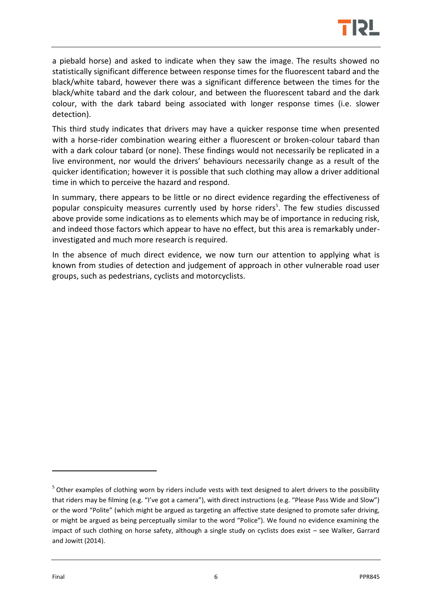

a piebald horse) and asked to indicate when they saw the image. The results showed no statistically significant difference between response times for the fluorescent tabard and the black/white tabard, however there was a significant difference between the times for the black/white tabard and the dark colour, and between the fluorescent tabard and the dark colour, with the dark tabard being associated with longer response times (i.e. slower detection).

This third study indicates that drivers may have a quicker response time when presented with a horse-rider combination wearing either a fluorescent or broken-colour tabard than with a dark colour tabard (or none). These findings would not necessarily be replicated in a live environment, nor would the drivers' behaviours necessarily change as a result of the quicker identification; however it is possible that such clothing may allow a driver additional time in which to perceive the hazard and respond.

In summary, there appears to be little or no direct evidence regarding the effectiveness of popular conspicuity measures currently used by horse riders<sup>5</sup>. The few studies discussed above provide some indications as to elements which may be of importance in reducing risk, and indeed those factors which appear to have no effect, but this area is remarkably underinvestigated and much more research is required.

In the absence of much direct evidence, we now turn our attention to applying what is known from studies of detection and judgement of approach in other vulnerable road user groups, such as pedestrians, cyclists and motorcyclists.

<sup>&</sup>lt;sup>5</sup> Other examples of clothing worn by riders include vests with text designed to alert drivers to the possibility that riders may be filming (e.g. "I've got a camera"), with direct instructions (e.g. "Please Pass Wide and Slow") or the word "Polite" (which might be argued as targeting an affective state designed to promote safer driving, or might be argued as being perceptually similar to the word "Police"). We found no evidence examining the impact of such clothing on horse safety, although a single study on cyclists does exist – see Walker, Garrard and Jowitt (2014).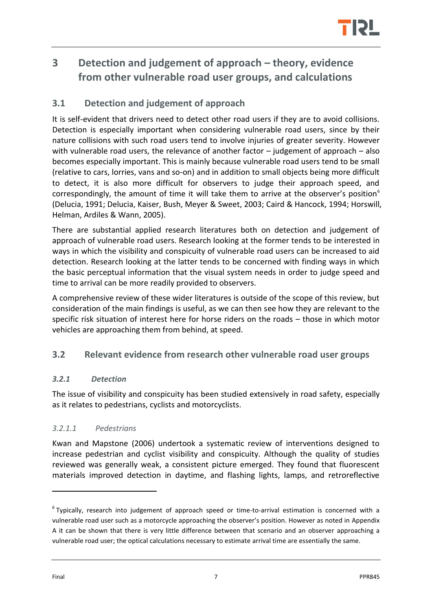

# <span id="page-9-0"></span>**3 Detection and judgement of approach – theory, evidence from other vulnerable road user groups, and calculations**

## <span id="page-9-1"></span>**3.1 Detection and judgement of approach**

It is self-evident that drivers need to detect other road users if they are to avoid collisions. Detection is especially important when considering vulnerable road users, since by their nature collisions with such road users tend to involve injuries of greater severity. However with vulnerable road users, the relevance of another factor – judgement of approach – also becomes especially important. This is mainly because vulnerable road users tend to be small (relative to cars, lorries, vans and so-on) and in addition to small objects being more difficult to detect, it is also more difficult for observers to judge their approach speed, and correspondingly, the amount of time it will take them to arrive at the observer's position $<sup>6</sup>$ </sup> (Delucia, 1991; Delucia, Kaiser, Bush, Meyer & Sweet, 2003; Caird & Hancock, 1994; Horswill, Helman, Ardiles & Wann, 2005).

There are substantial applied research literatures both on detection and judgement of approach of vulnerable road users. Research looking at the former tends to be interested in ways in which the visibility and conspicuity of vulnerable road users can be increased to aid detection. Research looking at the latter tends to be concerned with finding ways in which the basic perceptual information that the visual system needs in order to judge speed and time to arrival can be more readily provided to observers.

A comprehensive review of these wider literatures is outside of the scope of this review, but consideration of the main findings is useful, as we can then see how they are relevant to the specific risk situation of interest here for horse riders on the roads – those in which motor vehicles are approaching them from behind, at speed.

#### <span id="page-9-2"></span>**3.2 Relevant evidence from research other vulnerable road user groups**

#### <span id="page-9-3"></span>*3.2.1 Detection*

The issue of visibility and conspicuity has been studied extensively in road safety, especially as it relates to pedestrians, cyclists and motorcyclists.

#### *3.2.1.1 Pedestrians*

Kwan and Mapstone (2006) undertook a systematic review of interventions designed to increase pedestrian and cyclist visibility and conspicuity. Although the quality of studies reviewed was generally weak, a consistent picture emerged. They found that fluorescent materials improved detection in daytime, and flashing lights, lamps, and retroreflective

<sup>&</sup>lt;sup>6</sup> Typically, research into judgement of approach speed or time-to-arrival estimation is concerned with a vulnerable road user such as a motorcycle approaching the observer's position. However as noted in [Appendix](#page-17-0)  [A](#page-17-0) it can be shown that there is very little difference between that scenario and an observer approaching a vulnerable road user; the optical calculations necessary to estimate arrival time are essentially the same.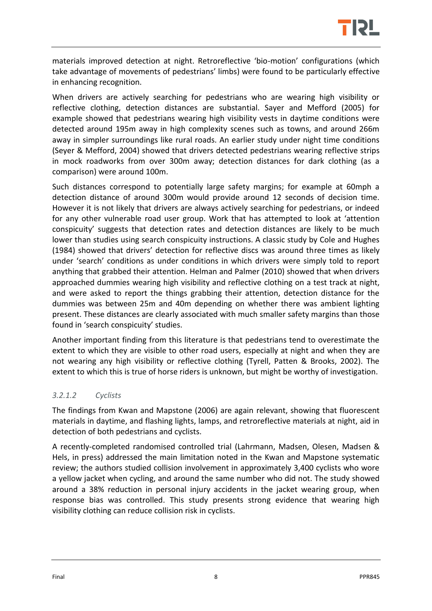

materials improved detection at night. Retroreflective 'bio-motion' configurations (which take advantage of movements of pedestrians' limbs) were found to be particularly effective in enhancing recognition.

When drivers are actively searching for pedestrians who are wearing high visibility or reflective clothing, detection distances are substantial. Sayer and Mefford (2005) for example showed that pedestrians wearing high visibility vests in daytime conditions were detected around 195m away in high complexity scenes such as towns, and around 266m away in simpler surroundings like rural roads. An earlier study under night time conditions (Seyer & Mefford, 2004) showed that drivers detected pedestrians wearing reflective strips in mock roadworks from over 300m away; detection distances for dark clothing (as a comparison) were around 100m.

Such distances correspond to potentially large safety margins; for example at 60mph a detection distance of around 300m would provide around 12 seconds of decision time. However it is not likely that drivers are always actively searching for pedestrians, or indeed for any other vulnerable road user group. Work that has attempted to look at 'attention conspicuity' suggests that detection rates and detection distances are likely to be much lower than studies using search conspicuity instructions. A classic study by Cole and Hughes (1984) showed that drivers' detection for reflective discs was around three times as likely under 'search' conditions as under conditions in which drivers were simply told to report anything that grabbed their attention. Helman and Palmer (2010) showed that when drivers approached dummies wearing high visibility and reflective clothing on a test track at night, and were asked to report the things grabbing their attention, detection distance for the dummies was between 25m and 40m depending on whether there was ambient lighting present. These distances are clearly associated with much smaller safety margins than those found in 'search conspicuity' studies.

Another important finding from this literature is that pedestrians tend to overestimate the extent to which they are visible to other road users, especially at night and when they are not wearing any high visibility or reflective clothing (Tyrell, Patten & Brooks, 2002). The extent to which this is true of horse riders is unknown, but might be worthy of investigation.

#### *3.2.1.2 Cyclists*

The findings from Kwan and Mapstone (2006) are again relevant, showing that fluorescent materials in daytime, and flashing lights, lamps, and retroreflective materials at night, aid in detection of both pedestrians and cyclists.

A recently-completed randomised controlled trial (Lahrmann, Madsen, Olesen, Madsen & Hels, in press) addressed the main limitation noted in the Kwan and Mapstone systematic review; the authors studied collision involvement in approximately 3,400 cyclists who wore a yellow jacket when cycling, and around the same number who did not. The study showed around a 38% reduction in personal injury accidents in the jacket wearing group, when response bias was controlled. This study presents strong evidence that wearing high visibility clothing can reduce collision risk in cyclists.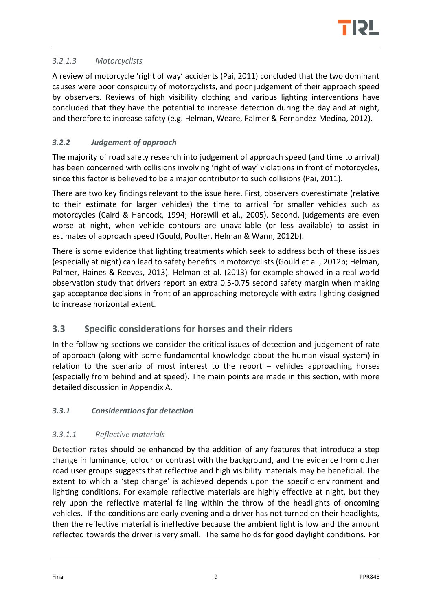

#### *3.2.1.3 Motorcyclists*

A review of motorcycle 'right of way' accidents (Pai, 2011) concluded that the two dominant causes were poor conspicuity of motorcyclists, and poor judgement of their approach speed by observers. Reviews of high visibility clothing and various lighting interventions have concluded that they have the potential to increase detection during the day and at night, and therefore to increase safety (e.g. Helman, Weare, Palmer & Fernandéz-Medina, 2012).

#### <span id="page-11-0"></span>*3.2.2 Judgement of approach*

The majority of road safety research into judgement of approach speed (and time to arrival) has been concerned with collisions involving 'right of way' violations in front of motorcycles, since this factor is believed to be a major contributor to such collisions (Pai, 2011).

There are two key findings relevant to the issue here. First, observers overestimate (relative to their estimate for larger vehicles) the time to arrival for smaller vehicles such as motorcycles (Caird & Hancock, 1994; Horswill et al., 2005). Second, judgements are even worse at night, when vehicle contours are unavailable (or less available) to assist in estimates of approach speed (Gould, Poulter, Helman & Wann, 2012b).

There is some evidence that lighting treatments which seek to address both of these issues (especially at night) can lead to safety benefits in motorcyclists (Gould et al., 2012b; Helman, Palmer, Haines & Reeves, 2013). Helman et al. (2013) for example showed in a real world observation study that drivers report an extra 0.5-0.75 second safety margin when making gap acceptance decisions in front of an approaching motorcycle with extra lighting designed to increase horizontal extent.

#### <span id="page-11-1"></span>**3.3 Specific considerations for horses and their riders**

In the following sections we consider the critical issues of detection and judgement of rate of approach (along with some fundamental knowledge about the human visual system) in relation to the scenario of most interest to the report – vehicles approaching horses (especially from behind and at speed). The main points are made in this section, with more detailed discussion in [Appendix A.](#page-17-0)

#### <span id="page-11-2"></span>*3.3.1 Considerations for detection*

#### *3.3.1.1 Reflective materials*

Detection rates should be enhanced by the addition of any features that introduce a step change in luminance, colour or contrast with the background, and the evidence from other road user groups suggests that reflective and high visibility materials may be beneficial. The extent to which a 'step change' is achieved depends upon the specific environment and lighting conditions. For example reflective materials are highly effective at night, but they rely upon the reflective material falling within the throw of the headlights of oncoming vehicles. If the conditions are early evening and a driver has not turned on their headlights, then the reflective material is ineffective because the ambient light is low and the amount reflected towards the driver is very small. The same holds for good daylight conditions. For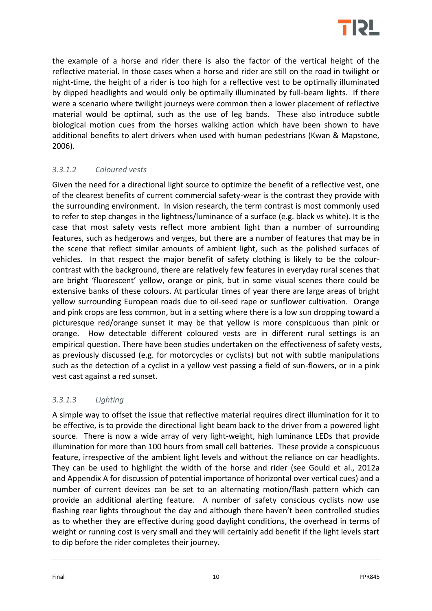

the example of a horse and rider there is also the factor of the vertical height of the reflective material. In those cases when a horse and rider are still on the road in twilight or night-time, the height of a rider is too high for a reflective vest to be optimally illuminated by dipped headlights and would only be optimally illuminated by full-beam lights. If there were a scenario where twilight journeys were common then a lower placement of reflective material would be optimal, such as the use of leg bands. These also introduce subtle biological motion cues from the horses walking action which have been shown to have additional benefits to alert drivers when used with human pedestrians (Kwan & Mapstone, 2006).

#### *3.3.1.2 Coloured vests*

Given the need for a directional light source to optimize the benefit of a reflective vest, one of the clearest benefits of current commercial safety-wear is the contrast they provide with the surrounding environment. In vision research, the term contrast is most commonly used to refer to step changes in the lightness/luminance of a surface (e.g. black vs white). It is the case that most safety vests reflect more ambient light than a number of surrounding features, such as hedgerows and verges, but there are a number of features that may be in the scene that reflect similar amounts of ambient light, such as the polished surfaces of vehicles. In that respect the major benefit of safety clothing is likely to be the colourcontrast with the background, there are relatively few features in everyday rural scenes that are bright 'fluorescent' yellow, orange or pink, but in some visual scenes there could be extensive banks of these colours. At particular times of year there are large areas of bright yellow surrounding European roads due to oil-seed rape or sunflower cultivation. Orange and pink crops are less common, but in a setting where there is a low sun dropping toward a picturesque red/orange sunset it may be that yellow is more conspicuous than pink or orange. How detectable different coloured vests are in different rural settings is an empirical question. There have been studies undertaken on the effectiveness of safety vests, as previously discussed (e.g. for motorcycles or cyclists) but not with subtle manipulations such as the detection of a cyclist in a yellow vest passing a field of sun-flowers, or in a pink vest cast against a red sunset.

#### *3.3.1.3 Lighting*

A simple way to offset the issue that reflective material requires direct illumination for it to be effective, is to provide the directional light beam back to the driver from a powered light source. There is now a wide array of very light-weight, high luminance LEDs that provide illumination for more than 100 hours from small cell batteries. These provide a conspicuous feature, irrespective of the ambient light levels and without the reliance on car headlights. They can be used to highlight the width of the horse and rider (see Gould et al., 2012a and [Appendix A](#page-17-0) for discussion of potential importance of horizontal over vertical cues) and a number of current devices can be set to an alternating motion/flash pattern which can provide an additional alerting feature. A number of safety conscious cyclists now use flashing rear lights throughout the day and although there haven't been controlled studies as to whether they are effective during good daylight conditions, the overhead in terms of weight or running cost is very small and they will certainly add benefit if the light levels start to dip before the rider completes their journey.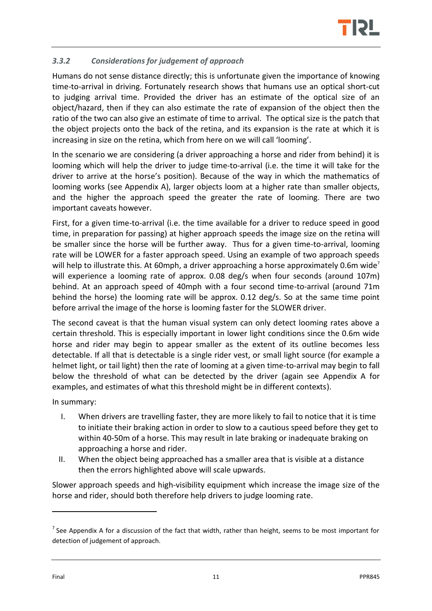

#### <span id="page-13-0"></span>*3.3.2 Considerations for judgement of approach*

Humans do not sense distance directly; this is unfortunate given the importance of knowing time-to-arrival in driving. Fortunately research shows that humans use an optical short-cut to judging arrival time. Provided the driver has an estimate of the optical size of an object/hazard, then if they can also estimate the rate of expansion of the object then the ratio of the two can also give an estimate of time to arrival. The optical size is the patch that the object projects onto the back of the retina, and its expansion is the rate at which it is increasing in size on the retina, which from here on we will call 'looming'.

In the scenario we are considering (a driver approaching a horse and rider from behind) it is looming which will help the driver to judge time-to-arrival (i.e. the time it will take for the driver to arrive at the horse's position). Because of the way in which the mathematics of looming works (see [Appendix A\)](#page-17-0), larger objects loom at a higher rate than smaller objects, and the higher the approach speed the greater the rate of looming. There are two important caveats however.

First, for a given time-to-arrival (i.e. the time available for a driver to reduce speed in good time, in preparation for passing) at higher approach speeds the image size on the retina will be smaller since the horse will be further away. Thus for a given time-to-arrival, looming rate will be LOWER for a faster approach speed. Using an example of two approach speeds will help to illustrate this. At 60mph, a driver approaching a horse approximately 0.6m wide<sup>7</sup> will experience a looming rate of approx. 0.08 deg/s when four seconds (around 107m) behind. At an approach speed of 40mph with a four second time-to-arrival (around 71m behind the horse) the looming rate will be approx. 0.12 deg/s. So at the same time point before arrival the image of the horse is looming faster for the SLOWER driver.

The second caveat is that the human visual system can only detect looming rates above a certain threshold. This is especially important in lower light conditions since the 0.6m wide horse and rider may begin to appear smaller as the extent of its outline becomes less detectable. If all that is detectable is a single rider vest, or small light source (for example a helmet light, or tail light) then the rate of looming at a given time-to-arrival may begin to fall below the threshold of what can be detected by the driver (again see [Appendix A](#page-17-0) for examples, and estimates of what this threshold might be in different contexts).

In summary:

- I. When drivers are travelling faster, they are more likely to fail to notice that it is time to initiate their braking action in order to slow to a cautious speed before they get to within 40-50m of a horse. This may result in late braking or inadequate braking on approaching a horse and rider.
- II. When the object being approached has a smaller area that is visible at a distance then the errors highlighted above will scale upwards.

Slower approach speeds and high-visibility equipment which increase the image size of the horse and rider, should both therefore help drivers to judge looming rate.

 $<sup>7</sup>$  See [Appendix A](#page-17-0) for a discussion of the fact that width, rather than height, seems to be most important for</sup> detection of judgement of approach.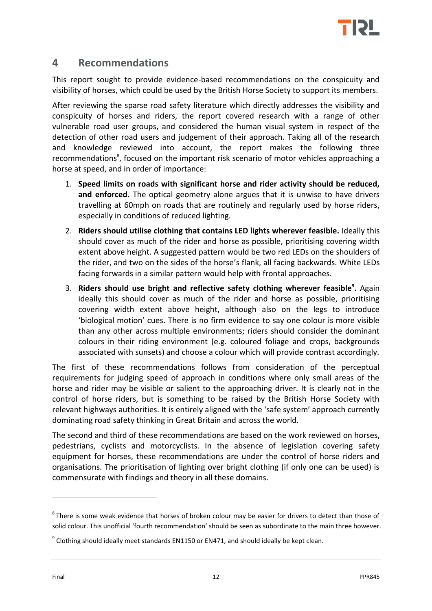

## <span id="page-14-0"></span>**4 Recommendations**

This report sought to provide evidence-based recommendations on the conspicuity and visibility of horses, which could be used by the British Horse Society to support its members.

After reviewing the sparse road safety literature which directly addresses the visibility and conspicuity of horses and riders, the report covered research with a range of other vulnerable road user groups, and considered the human visual system in respect of the detection of other road users and judgement of their approach. Taking all of the research and knowledge reviewed into account, the report makes the following three recommendations<sup>8</sup>, focused on the important risk scenario of motor vehicles approaching a horse at speed, and in order of importance:

- 1. **Speed limits on roads with significant horse and rider activity should be reduced, and enforced.** The optical geometry alone argues that it is unwise to have drivers travelling at 60mph on roads that are routinely and regularly used by horse riders, especially in conditions of reduced lighting.
- 2. **Riders should utilise clothing that contains LED lights wherever feasible.** Ideally this should cover as much of the rider and horse as possible, prioritising covering width extent above height. A suggested pattern would be two red LEDs on the shoulders of the rider, and two on the sides of the horse's flank, all facing backwards. White LEDs facing forwards in a similar pattern would help with frontal approaches.
- 3. **Riders should use bright and reflective safety clothing wherever feasible<sup>9</sup> .** Again ideally this should cover as much of the rider and horse as possible, prioritising covering width extent above height, although also on the legs to introduce 'biological motion' cues. There is no firm evidence to say one colour is more visible than any other across multiple environments; riders should consider the dominant colours in their riding environment (e.g. coloured foliage and crops, backgrounds associated with sunsets) and choose a colour which will provide contrast accordingly.

The first of these recommendations follows from consideration of the perceptual requirements for judging speed of approach in conditions where only small areas of the horse and rider may be visible or salient to the approaching driver. It is clearly not in the control of horse riders, but is something to be raised by the British Horse Society with relevant highways authorities. It is entirely aligned with the 'safe system' approach currently dominating road safety thinking in Great Britain and across the world.

The second and third of these recommendations are based on the work reviewed on horses, pedestrians, cyclists and motorcyclists. In the absence of legislation covering safety equipment for horses, these recommendations are under the control of horse riders and organisations. The prioritisation of lighting over bright clothing (if only one can be used) is commensurate with findings and theory in all these domains.

 ${}^{8}$ There is some weak evidence that horses of broken colour may be easier for drivers to detect than those of solid colour. This unofficial 'fourth recommendation' should be seen as subordinate to the main three however.

 $^9$  Clothing should ideally meet standards EN1150 or EN471, and should ideally be kept clean.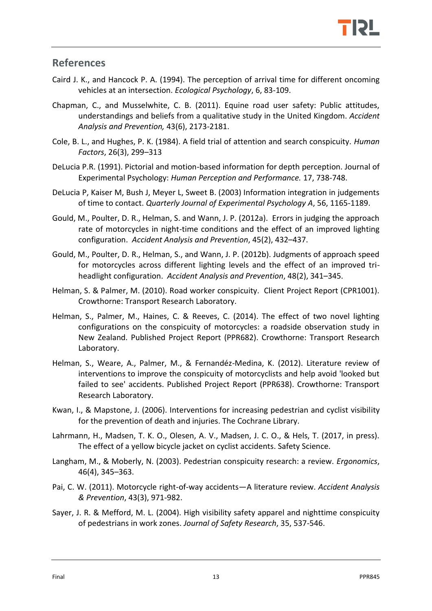## <span id="page-15-0"></span>**References**

- Caird J. K., and Hancock P. A. (1994). The perception of arrival time for different oncoming vehicles at an intersection. *Ecological Psychology*, 6, 83-109.
- Chapman, C., and Musselwhite, C. B. (2011). Equine road user safety: Public attitudes, understandings and beliefs from a qualitative study in the United Kingdom. *Accident Analysis and Prevention,* 43(6), 2173-2181.
- Cole, B. L., and Hughes, P. K. (1984). A field trial of attention and search conspicuity. *Human Factors*, 26(3), 299–313
- DeLucia P.R. (1991). Pictorial and motion-based information for depth perception. Journal of Experimental Psychology: *Human Perception and Performance.* 17, 738-748.
- DeLucia P, Kaiser M, Bush J, Meyer L, Sweet B. (2003) Information integration in judgements of time to contact. *Quarterly Journal of Experimental Psychology A*, 56, 1165-1189.
- Gould, M., Poulter, D. R., Helman, S. and Wann, J. P. (2012a). Errors in judging the approach rate of motorcycles in night-time conditions and the effect of an improved lighting configuration. *Accident Analysis and Prevention*, 45(2), 432–437.
- Gould, M., Poulter, D. R., Helman, S., and Wann, J. P. (2012b). Judgments of approach speed for motorcycles across different lighting levels and the effect of an improved triheadlight configuration. *Accident Analysis and Prevention*, 48(2), 341–345.
- Helman, S. & Palmer, M. (2010). Road worker conspicuity. Client Project Report (CPR1001). Crowthorne: Transport Research Laboratory.
- Helman, S., Palmer, M., Haines, C. & Reeves, C. (2014). The effect of two novel lighting configurations on the conspicuity of motorcycles: a roadside observation study in New Zealand. Published Project Report (PPR682). Crowthorne: Transport Research Laboratory.
- Helman, S., Weare, A., Palmer, M., & Fernandéz-Medina, K. (2012). Literature review of interventions to improve the conspicuity of motorcyclists and help avoid 'looked but failed to see' accidents. Published Project Report (PPR638). Crowthorne: Transport Research Laboratory.
- Kwan, I., & Mapstone, J. (2006). Interventions for increasing pedestrian and cyclist visibility for the prevention of death and injuries. The Cochrane Library.
- Lahrmann, H., Madsen, T. K. O., Olesen, A. V., Madsen, J. C. O., & Hels, T. (2017, in press). The effect of a yellow bicycle jacket on cyclist accidents. Safety Science.
- Langham, M., & Moberly, N. (2003). Pedestrian conspicuity research: a review. *Ergonomics*, 46(4), 345–363.
- Pai, C. W. (2011). Motorcycle right-of-way accidents—A literature review. *Accident Analysis & Prevention*, 43(3), 971-982.
- Sayer, J. R. & Mefford, M. L. (2004). High visibility safety apparel and nighttime conspicuity of pedestrians in work zones. *Journal of Safety Research*, 35, 537-546.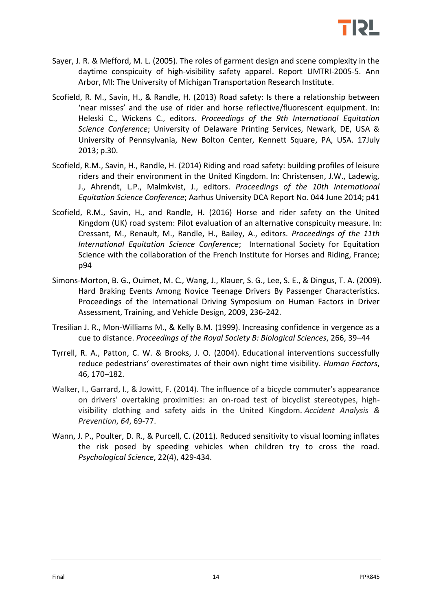

- Sayer, J. R. & Mefford, M. L. (2005). The roles of garment design and scene complexity in the daytime conspicuity of high-visibility safety apparel. Report UMTRI-2005-5. Ann Arbor, MI: The University of Michigan Transportation Research Institute.
- Scofield, R. M., Savin, H., & Randle, H. (2013) Road safety: Is there a relationship between 'near misses' and the use of rider and horse reflective/fluorescent equipment. In: Heleski C., Wickens C., editors. *Proceedings of the 9th International Equitation Science Conference*; University of Delaware Printing Services, Newark, DE, USA & University of Pennsylvania, New Bolton Center, Kennett Square, PA, USA. 17July 2013; p.30.
- Scofield, R.M., Savin, H., Randle, H. (2014) Riding and road safety: building profiles of leisure riders and their environment in the United Kingdom. In: Christensen, J.W., Ladewig, J., Ahrendt, L.P., Malmkvist, J., editors. *Proceedings of the 10th International Equitation Science Conference*; Aarhus University DCA Report No. 044 June 2014; p41
- Scofield, R.M., Savin, H., and Randle, H. (2016) Horse and rider safety on the United Kingdom (UK) road system: Pilot evaluation of an alternative conspicuity measure. In: Cressant, M., Renault, M., Randle, H., Bailey, A., editors. *Proceedings of the 11th International Equitation Science Conference*; International Society for Equitation Science with the collaboration of the French Institute for Horses and Riding, France; p94
- Simons-Morton, B. G., Ouimet, M. C., Wang, J., Klauer, S. G., Lee, S. E., & Dingus, T. A. (2009). Hard Braking Events Among Novice Teenage Drivers By Passenger Characteristics. Proceedings of the International Driving Symposium on Human Factors in Driver Assessment, Training, and Vehicle Design, 2009, 236-242.
- Tresilian J. R., Mon-Williams M., & Kelly B.M. (1999). Increasing confidence in vergence as a cue to distance. *Proceedings of the Royal Society B: Biological Sciences*, 266, 39–44
- Tyrrell, R. A., Patton, C. W. & Brooks, J. O. (2004). Educational interventions successfully reduce pedestrians' overestimates of their own night time visibility. *Human Factors*, 46, 170–182.
- Walker, I., Garrard, I., & Jowitt, F. (2014). The influence of a bicycle commuter's appearance on drivers' overtaking proximities: an on-road test of bicyclist stereotypes, highvisibility clothing and safety aids in the United Kingdom. *Accident Analysis & Prevention*, *64*, 69-77.
- Wann, J. P., Poulter, D. R., & Purcell, C. (2011). Reduced sensitivity to visual looming inflates the risk posed by speeding vehicles when children try to cross the road. *Psychological Science*, 22(4), 429-434.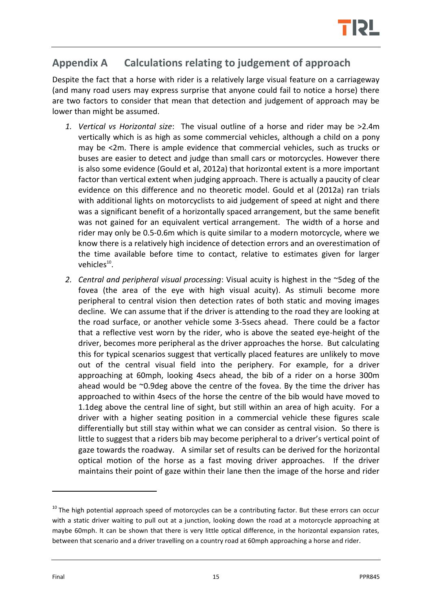

# <span id="page-17-0"></span>**Appendix A Calculations relating to judgement of approach**

Despite the fact that a horse with rider is a relatively large visual feature on a carriageway (and many road users may express surprise that anyone could fail to notice a horse) there are two factors to consider that mean that detection and judgement of approach may be lower than might be assumed.

- *1. Vertical vs Horizontal size*: The visual outline of a horse and rider may be >2.4m vertically which is as high as some commercial vehicles, although a child on a pony may be <2m. There is ample evidence that commercial vehicles, such as trucks or buses are easier to detect and judge than small cars or motorcycles. However there is also some evidence (Gould et al, 2012a) that horizontal extent is a more important factor than vertical extent when judging approach. There is actually a paucity of clear evidence on this difference and no theoretic model. Gould et al (2012a) ran trials with additional lights on motorcyclists to aid judgement of speed at night and there was a significant benefit of a horizontally spaced arrangement, but the same benefit was not gained for an equivalent vertical arrangement. The width of a horse and rider may only be 0.5-0.6m which is quite similar to a modern motorcycle, where we know there is a relatively high incidence of detection errors and an overestimation of the time available before time to contact, relative to estimates given for larger vehicles<sup>10</sup>.
- *2. Central and peripheral visual processing*: Visual acuity is highest in the ~5deg of the fovea (the area of the eye with high visual acuity). As stimuli become more peripheral to central vision then detection rates of both static and moving images decline. We can assume that if the driver is attending to the road they are looking at the road surface, or another vehicle some 3-5secs ahead. There could be a factor that a reflective vest worn by the rider, who is above the seated eye-height of the driver, becomes more peripheral as the driver approaches the horse. But calculating this for typical scenarios suggest that vertically placed features are unlikely to move out of the central visual field into the periphery. For example, for a driver approaching at 60mph, looking 4secs ahead, the bib of a rider on a horse 300m ahead would be  $\sim 0.9$ deg above the centre of the fovea. By the time the driver has approached to within 4secs of the horse the centre of the bib would have moved to 1.1deg above the central line of sight, but still within an area of high acuity. For a driver with a higher seating position in a commercial vehicle these figures scale differentially but still stay within what we can consider as central vision. So there is little to suggest that a riders bib may become peripheral to a driver's vertical point of gaze towards the roadway. A similar set of results can be derived for the horizontal optical motion of the horse as a fast moving driver approaches. If the driver maintains their point of gaze within their lane then the image of the horse and rider

 $10$  The high potential approach speed of motorcycles can be a contributing factor. But these errors can occur with a static driver waiting to pull out at a junction, looking down the road at a motorcycle approaching at maybe 60mph. It can be shown that there is very little optical difference, in the horizontal expansion rates, between that scenario and a driver travelling on a country road at 60mph approaching a horse and rider.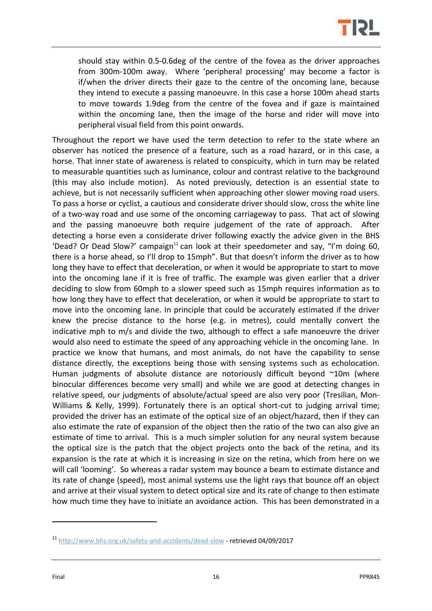

should stay within 0.5-0.6deg of the centre of the fovea as the driver approaches from 300m-100m away. Where 'peripheral processing' may become a factor is if/when the driver directs their gaze to the centre of the oncoming lane, because they intend to execute a passing manoeuvre. In this case a horse 100m ahead starts to move towards 1.9deg from the centre of the fovea and if gaze is maintained within the oncoming lane, then the image of the horse and rider will move into peripheral visual field from this point onwards.

Throughout the report we have used the term detection to refer to the state where an observer has noticed the presence of a feature, such as a road hazard, or in this case, a horse. That inner state of awareness is related to conspicuity, which in turn may be related to measurable quantities such as luminance, colour and contrast relative to the background (this may also include motion). As noted previously, detection is an essential state to achieve, but is not necessarily sufficient when approaching other slower moving road users. To pass a horse or cyclist, a cautious and considerate driver should slow, cross the white line of a two-way road and use some of the oncoming carriageway to pass. That act of slowing and the passing manoeuvre both require judgement of the rate of approach. After detecting a horse even a considerate driver following exactly the advice given in the BHS 'Dead? Or Dead Slow?' campaign<sup>11</sup> can look at their speedometer and say, "I'm doing 60, there is a horse ahead, so I'll drop to 15mph". But that doesn't inform the driver as to how long they have to effect that deceleration, or when it would be appropriate to start to move into the oncoming lane if it is free of traffic. The example was given earlier that a driver deciding to slow from 60mph to a slower speed such as 15mph requires information as to how long they have to effect that deceleration, or when it would be appropriate to start to move into the oncoming lane. In principle that could be accurately estimated if the driver knew the precise distance to the horse (e.g. in metres), could mentally convert the indicative mph to m/s and divide the two, although to effect a safe manoeuvre the driver would also need to estimate the speed of any approaching vehicle in the oncoming lane. In practice we know that humans, and most animals, do not have the capability to sense distance directly, the exceptions being those with sensing systems such as echolocation. Human judgments of absolute distance are notoriously difficult beyond ~10m (where binocular differences become very small) and while we are good at detecting changes in relative speed, our judgments of absolute/actual speed are also very poor (Tresilian, Mon-Williams & Kelly, 1999). Fortunately there is an optical short-cut to judging arrival time; provided the driver has an estimate of the optical size of an object/hazard, then if they can also estimate the rate of expansion of the object then the ratio of the two can also give an estimate of time to arrival. This is a much simpler solution for any neural system because the optical size is the patch that the object projects onto the back of the retina, and its expansion is the rate at which it is increasing in size on the retina, which from here on we will call 'looming'. So whereas a radar system may bounce a beam to estimate distance and its rate of change (speed), most animal systems use the light rays that bounce off an object and arrive at their visual system to detect optical size and its rate of change to then estimate how much time they have to initiate an avoidance action. This has been demonstrated in a

<sup>11</sup> <http://www.bhs.org.uk/safety-and-accidents/dead-slow> - retrieved 04/09/2017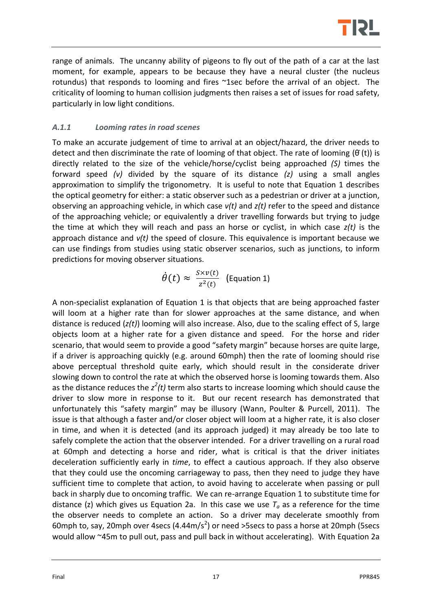

range of animals. The uncanny ability of pigeons to fly out of the path of a car at the last moment, for example, appears to be because they have a neural cluster (the nucleus rotundus) that responds to looming and fires ~1sec before the arrival of an object. The criticality of looming to human collision judgments then raises a set of issues for road safety, particularly in low light conditions.

#### *A.1.1 Looming rates in road scenes*

To make an accurate judgement of time to arrival at an object/hazard, the driver needs to detect and then discriminate the rate of looming of that object. The rate of looming  $(\theta(t))$  is directly related to the size of the vehicle/horse/cyclist being approached *(S)* times the forward speed *(v)* divided by the square of its distance *(z)* using a small angles approximation to simplify the trigonometry. It is useful to note that Equation 1 describes the optical geometry for either: a static observer such as a pedestrian or driver at a junction, observing an approaching vehicle, in which case *v(t)* and *z(t)* refer to the speed and distance of the approaching vehicle; or equivalently a driver travelling forwards but trying to judge the time at which they will reach and pass an horse or cyclist, in which case *z(t)* is the approach distance and *v(t)* the speed of closure. This equivalence is important because we can use findings from studies using static observer scenarios, such as junctions, to inform predictions for moving observer situations.

$$
\dot{\theta}(t) \approx \frac{S \times v(t)}{z^2(t)}
$$
 (Equation 1)

A non-specialist explanation of Equation 1 is that objects that are being approached faster will loom at a higher rate than for slower approaches at the same distance, and when distance is reduced (*z(t)*) looming will also increase. Also, due to the scaling effect of S, large objects loom at a higher rate for a given distance and speed. For the horse and rider scenario, that would seem to provide a good "safety margin" because horses are quite large, if a driver is approaching quickly (e.g. around 60mph) then the rate of looming should rise above perceptual threshold quite early, which should result in the considerate driver slowing down to control the rate at which the observed horse is looming towards them. Also as the distance reduces the  $z^2(t)$  term also starts to increase looming which should cause the driver to slow more in response to it. But our recent research has demonstrated that unfortunately this "safety margin" may be illusory (Wann, Poulter & Purcell, 2011). The issue is that although a faster and/or closer object will loom at a higher rate, it is also closer in time, and when it is detected (and its approach judged) it may already be too late to safely complete the action that the observer intended. For a driver travelling on a rural road at 60mph and detecting a horse and rider, what is critical is that the driver initiates deceleration sufficiently early in *time*, to effect a cautious approach. If they also observe that they could use the oncoming carriageway to pass, then they need to judge they have sufficient time to complete that action, to avoid having to accelerate when passing or pull back in sharply due to oncoming traffic. We can re-arrange Equation 1 to substitute time for distance (z) which gives us Equation 2a. In this case we use  $T_a$  as a reference for the time the observer needs to complete an action. So a driver may decelerate smoothly from 60mph to, say, 20mph over 4secs  $(4.44 \text{m/s}^2)$  or need >5secs to pass a horse at 20mph (5secs would allow ~45m to pull out, pass and pull back in without accelerating). With Equation 2a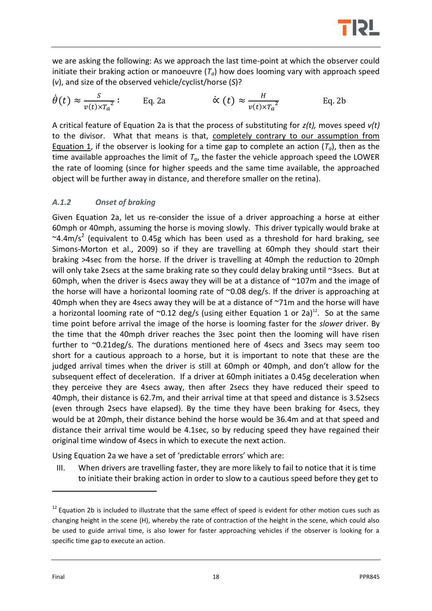

we are asking the following: As we approach the last time-point at which the observer could initiate their braking action or manoeuvre (*Ta*) how does looming vary with approach speed (*v*), and size of the observed vehicle/cyclist/horse (*S*)?

$$
\dot{\theta}(t) \approx \frac{s}{v(t) \times T_a^2}
$$
: Eq. 2a  $\dot{\alpha}(t) \approx \frac{H}{v(t) \times T_a^2}$  Eq. 2b

A critical feature of Equation 2a is that the process of substituting for *z(t),* moves speed *v(t)* to the divisor. What that means is that, completely contrary to our assumption from Equation 1, if the observer is looking for a time gap to complete an action (*Ta*), then as the time available approaches the limit of  $T_a$ , the faster the vehicle approach speed the LOWER the rate of looming (since for higher speeds and the same time available, the approached object will be further away in distance, and therefore smaller on the retina).

#### *A.1.2 Onset of braking*

Given Equation 2a, let us re-consider the issue of a driver approaching a horse at either 60mph or 40mph, assuming the horse is moving slowly. This driver typically would brake at  $\sim$ 4.4m/s<sup>2</sup> (equivalent to 0.45g which has been used as a threshold for hard braking, see Simons-Morton et al., 2009) so if they are travelling at 60mph they should start their braking >4sec from the horse. If the driver is travelling at 40mph the reduction to 20mph will only take 2secs at the same braking rate so they could delay braking until ~3secs. But at 60mph, when the driver is 4secs away they will be at a distance of ~107m and the image of the horse will have a horizontal looming rate of ~0.08 deg/s. If the driver is approaching at 40mph when they are 4 secs away they will be at a distance of ~71m and the horse will have a horizontal looming rate of  $\sim$ 0.12 deg/s (using either Equation 1 or 2a)<sup>12</sup>. So at the same time point before arrival the image of the horse is looming faster for the *slower* driver. By the time that the 40mph driver reaches the 3sec point then the looming will have risen further to ~0.21deg/s. The durations mentioned here of 4secs and 3secs may seem too short for a cautious approach to a horse, but it is important to note that these are the judged arrival times when the driver is still at 60mph or 40mph, and don't allow for the subsequent effect of deceleration. If a driver at 60mph initiates a 0.45g deceleration when they perceive they are 4secs away, then after 2secs they have reduced their speed to 40mph, their distance is 62.7m, and their arrival time at that speed and distance is 3.52secs (even through 2secs have elapsed). By the time they have been braking for 4secs, they would be at 20mph, their distance behind the horse would be 36.4m and at that speed and distance their arrival time would be 4.1sec, so by reducing speed they have regained their original time window of 4secs in which to execute the next action.

Using Equation 2a we have a set of 'predictable errors' which are:

III. When drivers are travelling faster, they are more likely to fail to notice that it is time to initiate their braking action in order to slow to a cautious speed before they get to

 $12$  Equation 2b is included to illustrate that the same effect of speed is evident for other motion cues such as changing height in the scene (H), whereby the rate of contraction of the height in the scene, which could also be used to guide arrival time, is also lower for faster approaching vehicles if the observer is looking for a specific time gap to execute an action.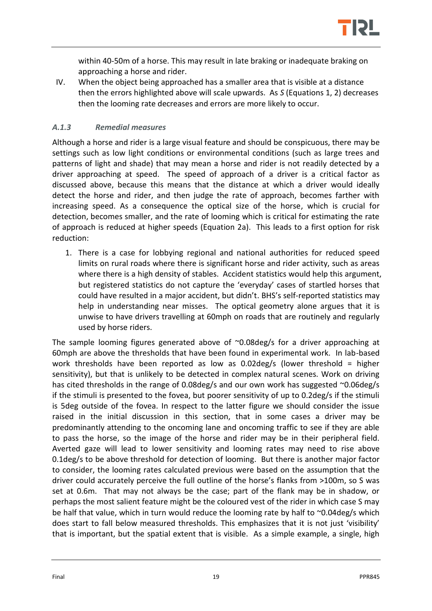

within 40-50m of a horse. This may result in late braking or inadequate braking on approaching a horse and rider.

IV. When the object being approached has a smaller area that is visible at a distance then the errors highlighted above will scale upwards. As *S* (Equations 1, 2) decreases then the looming rate decreases and errors are more likely to occur.

#### *A.1.3 Remedial measures*

Although a horse and rider is a large visual feature and should be conspicuous, there may be settings such as low light conditions or environmental conditions (such as large trees and patterns of light and shade) that may mean a horse and rider is not readily detected by a driver approaching at speed. The speed of approach of a driver is a critical factor as discussed above, because this means that the distance at which a driver would ideally detect the horse and rider, and then judge the rate of approach, becomes farther with increasing speed. As a consequence the optical size of the horse, which is crucial for detection, becomes smaller, and the rate of looming which is critical for estimating the rate of approach is reduced at higher speeds (Equation 2a). This leads to a first option for risk reduction:

1. There is a case for lobbying regional and national authorities for reduced speed limits on rural roads where there is significant horse and rider activity, such as areas where there is a high density of stables. Accident statistics would help this argument, but registered statistics do not capture the 'everyday' cases of startled horses that could have resulted in a major accident, but didn't. BHS's self-reported statistics may help in understanding near misses. The optical geometry alone argues that it is unwise to have drivers travelling at 60mph on roads that are routinely and regularly used by horse riders.

The sample looming figures generated above of  $\sim 0.08 \text{deg/s}$  for a driver approaching at 60mph are above the thresholds that have been found in experimental work. In lab-based work thresholds have been reported as low as 0.02deg/s (lower threshold = higher sensitivity), but that is unlikely to be detected in complex natural scenes. Work on driving has cited thresholds in the range of 0.08deg/s and our own work has suggested ~0.06deg/s if the stimuli is presented to the fovea, but poorer sensitivity of up to 0.2deg/s if the stimuli is 5deg outside of the fovea. In respect to the latter figure we should consider the issue raised in the initial discussion in this section, that in some cases a driver may be predominantly attending to the oncoming lane and oncoming traffic to see if they are able to pass the horse, so the image of the horse and rider may be in their peripheral field. Averted gaze will lead to lower sensitivity and looming rates may need to rise above 0.1deg/s to be above threshold for detection of looming. But there is another major factor to consider, the looming rates calculated previous were based on the assumption that the driver could accurately perceive the full outline of the horse's flanks from >100m, so S was set at 0.6m. That may not always be the case; part of the flank may be in shadow, or perhaps the most salient feature might be the coloured vest of the rider in which case S may be half that value, which in turn would reduce the looming rate by half to  $\sim$ 0.04deg/s which does start to fall below measured thresholds. This emphasizes that it is not just 'visibility' that is important, but the spatial extent that is visible. As a simple example, a single, high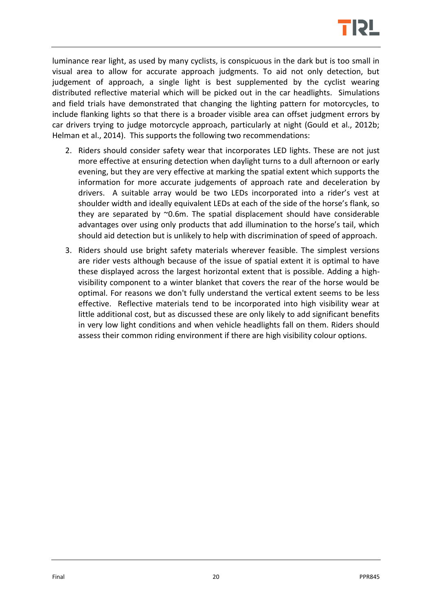

luminance rear light, as used by many cyclists, is conspicuous in the dark but is too small in visual area to allow for accurate approach judgments. To aid not only detection, but judgement of approach, a single light is best supplemented by the cyclist wearing distributed reflective material which will be picked out in the car headlights. Simulations and field trials have demonstrated that changing the lighting pattern for motorcycles, to include flanking lights so that there is a broader visible area can offset judgment errors by car drivers trying to judge motorcycle approach, particularly at night (Gould et al., 2012b; Helman et al., 2014). This supports the following two recommendations:

- 2. Riders should consider safety wear that incorporates LED lights. These are not just more effective at ensuring detection when daylight turns to a dull afternoon or early evening, but they are very effective at marking the spatial extent which supports the information for more accurate judgements of approach rate and deceleration by drivers. A suitable array would be two LEDs incorporated into a rider's vest at shoulder width and ideally equivalent LEDs at each of the side of the horse's flank, so they are separated by ~0.6m. The spatial displacement should have considerable advantages over using only products that add illumination to the horse's tail, which should aid detection but is unlikely to help with discrimination of speed of approach.
- 3. Riders should use bright safety materials wherever feasible. The simplest versions are rider vests although because of the issue of spatial extent it is optimal to have these displayed across the largest horizontal extent that is possible. Adding a highvisibility component to a winter blanket that covers the rear of the horse would be optimal. For reasons we don't fully understand the vertical extent seems to be less effective. Reflective materials tend to be incorporated into high visibility wear at little additional cost, but as discussed these are only likely to add significant benefits in very low light conditions and when vehicle headlights fall on them. Riders should assess their common riding environment if there are high visibility colour options.